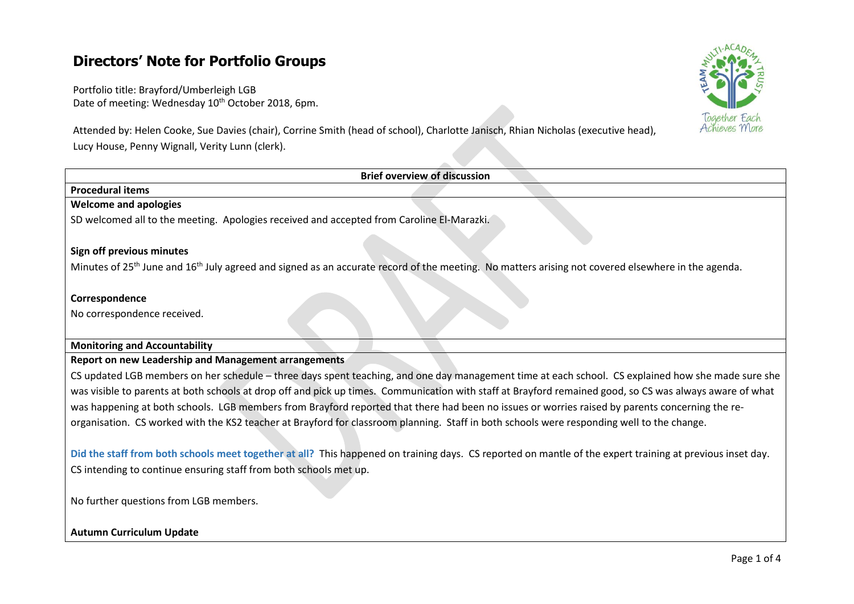# **Directors' Note for Portfolio Groups**

Portfolio title: Brayford/Umberleigh LGB Date of meeting: Wednesday 10<sup>th</sup> October 2018, 6pm.

Attended by: Helen Cooke, Sue Davies (chair), Corrine Smith (head of school), Charlotte Janisch, Rhian Nicholas (executive head), Lucy House, Penny Wignall, Verity Lunn (clerk).



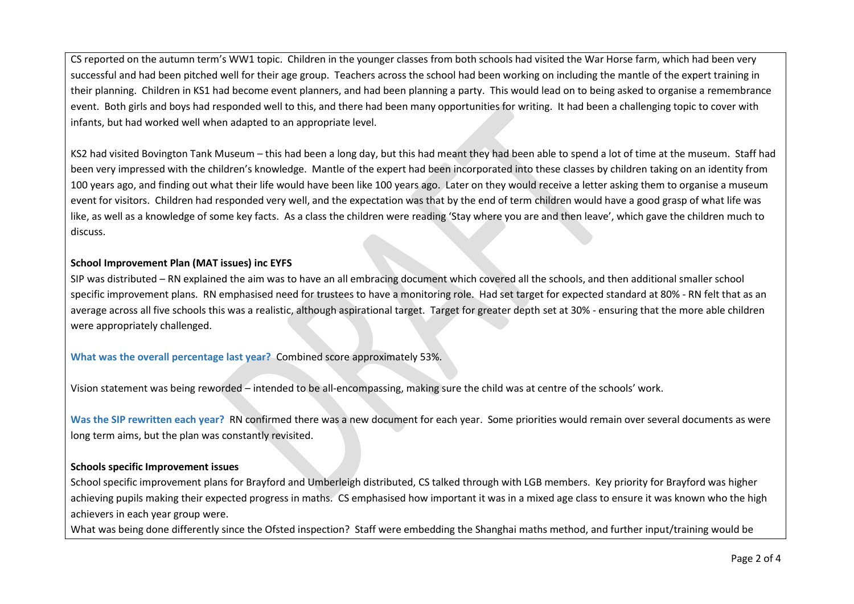CS reported on the autumn term's WW1 topic. Children in the younger classes from both schools had visited the War Horse farm, which had been very successful and had been pitched well for their age group. Teachers across the school had been working on including the mantle of the expert training in their planning. Children in KS1 had become event planners, and had been planning a party. This would lead on to being asked to organise a remembrance event. Both girls and boys had responded well to this, and there had been many opportunities for writing. It had been a challenging topic to cover with infants, but had worked well when adapted to an appropriate level.

KS2 had visited Bovington Tank Museum – this had been a long day, but this had meant they had been able to spend a lot of time at the museum. Staff had been very impressed with the children's knowledge. Mantle of the expert had been incorporated into these classes by children taking on an identity from 100 years ago, and finding out what their life would have been like 100 years ago. Later on they would receive a letter asking them to organise a museum event for visitors. Children had responded very well, and the expectation was that by the end of term children would have a good grasp of what life was like, as well as a knowledge of some key facts. As a class the children were reading 'Stay where you are and then leave', which gave the children much to discuss.

# **School Improvement Plan (MAT issues) inc EYFS**

SIP was distributed – RN explained the aim was to have an all embracing document which covered all the schools, and then additional smaller school specific improvement plans. RN emphasised need for trustees to have a monitoring role. Had set target for expected standard at 80% - RN felt that as an average across all five schools this was a realistic, although aspirational target. Target for greater depth set at 30% - ensuring that the more able children were appropriately challenged.

**What was the overall percentage last year?** Combined score approximately 53%.

Vision statement was being reworded – intended to be all-encompassing, making sure the child was at centre of the schools' work.

**Was the SIP rewritten each year?** RN confirmed there was a new document for each year. Some priorities would remain over several documents as were long term aims, but the plan was constantly revisited.

#### **Schools specific Improvement issues**

School specific improvement plans for Brayford and Umberleigh distributed, CS talked through with LGB members. Key priority for Brayford was higher achieving pupils making their expected progress in maths. CS emphasised how important it was in a mixed age class to ensure it was known who the high achievers in each year group were.

What was being done differently since the Ofsted inspection? Staff were embedding the Shanghai maths method, and further input/training would be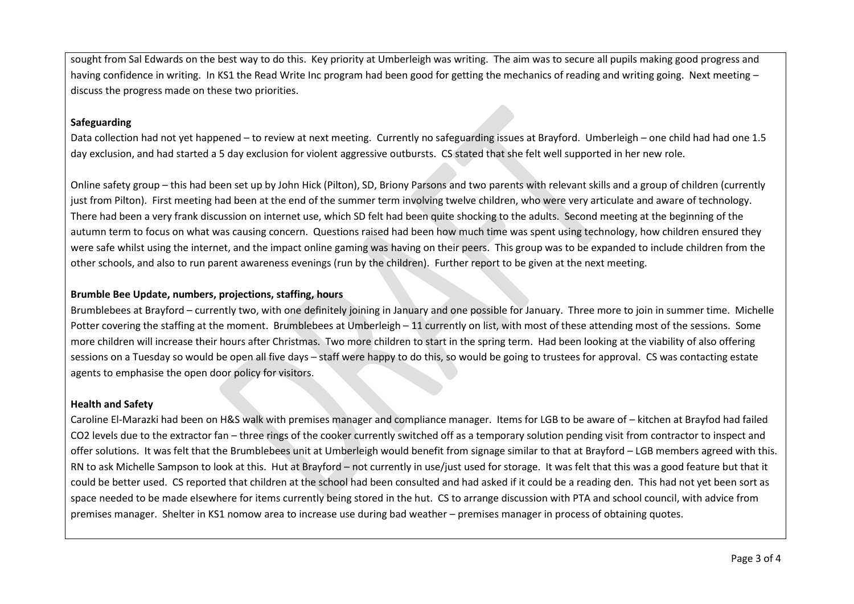sought from Sal Edwards on the best way to do this. Key priority at Umberleigh was writing. The aim was to secure all pupils making good progress and having confidence in writing. In KS1 the Read Write Inc program had been good for getting the mechanics of reading and writing going. Next meeting – discuss the progress made on these two priorities.

# **Safeguarding**

Data collection had not yet happened – to review at next meeting. Currently no safeguarding issues at Brayford. Umberleigh – one child had had one 1.5 day exclusion, and had started a 5 day exclusion for violent aggressive outbursts. CS stated that she felt well supported in her new role.

Online safety group – this had been set up by John Hick (Pilton), SD, Briony Parsons and two parents with relevant skills and a group of children (currently just from Pilton). First meeting had been at the end of the summer term involving twelve children, who were very articulate and aware of technology. There had been a very frank discussion on internet use, which SD felt had been quite shocking to the adults. Second meeting at the beginning of the autumn term to focus on what was causing concern. Questions raised had been how much time was spent using technology, how children ensured they were safe whilst using the internet, and the impact online gaming was having on their peers. This group was to be expanded to include children from the other schools, and also to run parent awareness evenings (run by the children). Further report to be given at the next meeting.

# **Brumble Bee Update, numbers, projections, staffing, hours**

Brumblebees at Brayford – currently two, with one definitely joining in January and one possible for January. Three more to join in summer time. Michelle Potter covering the staffing at the moment. Brumblebees at Umberleigh – 11 currently on list, with most of these attending most of the sessions. Some more children will increase their hours after Christmas. Two more children to start in the spring term. Had been looking at the viability of also offering sessions on a Tuesday so would be open all five days – staff were happy to do this, so would be going to trustees for approval. CS was contacting estate agents to emphasise the open door policy for visitors.

# **Health and Safety**

Caroline El-Marazki had been on H&S walk with premises manager and compliance manager. Items for LGB to be aware of – kitchen at Brayfod had failed CO2 levels due to the extractor fan – three rings of the cooker currently switched off as a temporary solution pending visit from contractor to inspect and offer solutions. It was felt that the Brumblebees unit at Umberleigh would benefit from signage similar to that at Brayford – LGB members agreed with this. RN to ask Michelle Sampson to look at this. Hut at Brayford – not currently in use/just used for storage. It was felt that this was a good feature but that it could be better used. CS reported that children at the school had been consulted and had asked if it could be a reading den. This had not yet been sort as space needed to be made elsewhere for items currently being stored in the hut. CS to arrange discussion with PTA and school council, with advice from premises manager. Shelter in KS1 nomow area to increase use during bad weather – premises manager in process of obtaining quotes.